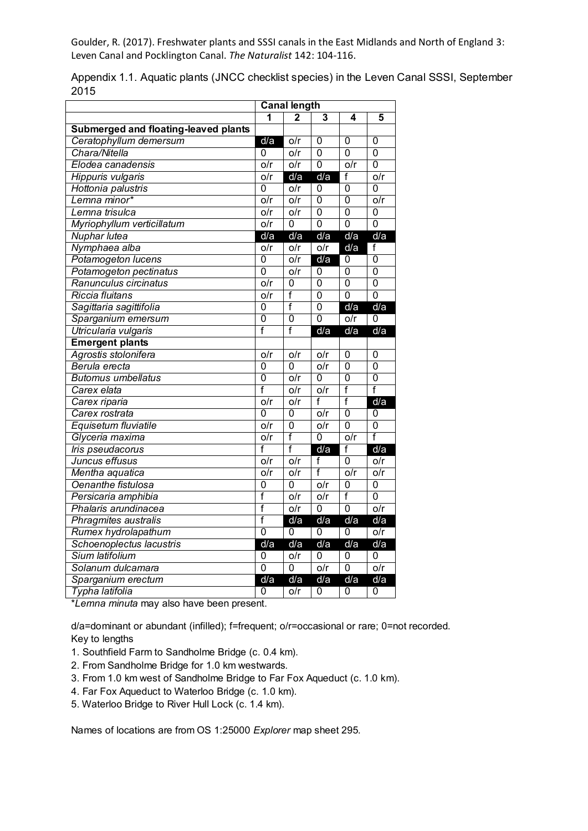Goulder, R. (2017). Freshwater plants and SSSI canals in the East Midlands and North of England 3: Leven Canal and Pocklington Canal. *The Naturalist* 142: 104-116.

|                                      | <b>Canal length</b>     |                           |                  |                  |                           |  |  |
|--------------------------------------|-------------------------|---------------------------|------------------|------------------|---------------------------|--|--|
|                                      | 1                       | 2                         | 3                | 4                | 5                         |  |  |
| Submerged and floating-leaved plants |                         |                           |                  |                  |                           |  |  |
| Ceratophyllum demersum               | d/a                     | o/r                       | $\overline{0}$   | $\overline{0}$   | $\mathbf 0$               |  |  |
| Chara/Nitella                        | 0                       | o/r                       | $\overline{0}$   | $\overline{0}$   | $\overline{0}$            |  |  |
| Elodea canadensis                    | o/r                     | o/r                       | 0                | o/r              | $\mathbf 0$               |  |  |
| Hippuris vulgaris                    | $\overline{o/r}$        | d/a                       | d/a              | f                | o/r                       |  |  |
| Hottonia palustris                   | 0                       | $\overline{o/r}$          | 0                | 0                | $\overline{0}$            |  |  |
| Lemna minor*                         | o/r                     | o/r                       | $\overline{0}$   | $\overline{0}$   | o/r                       |  |  |
| Lemna trisulca                       | o/r                     | o/r                       | 0                | 0                | 0                         |  |  |
| Myriophyllum verticillatum           | o/r                     | 0                         | $\overline{0}$   | $\overline{0}$   | $\overline{0}$            |  |  |
| Nuphar lutea                         | d/a                     | d/a                       | d/a              | d/a              | d/a                       |  |  |
| Nymphaea alba                        | $\overline{o/r}$        | $\overline{o/r}$          | $\overline{o/r}$ | d/a              | f                         |  |  |
| Potamogeton lucens                   | $\overline{0}$          | $\overline{\mathsf{O/r}}$ | d/a              | 0                | $\overline{0}$            |  |  |
| Potamogeton pectinatus               | $\overline{0}$          | $\overline{o/r}$          | 0                | $\overline{0}$   | $\overline{0}$            |  |  |
| Ranunculus circinatus                | o/r                     | $\Omega$                  | $\overline{0}$   | $\Omega$         | $\overline{0}$            |  |  |
| Riccia fluitans                      | $\overline{o/r}$        | f                         | $\overline{0}$   | $\overline{0}$   | $\overline{0}$            |  |  |
| Sagittaria sagittifolia              | 0                       | $\overline{f}$            | $\mathbf 0$      | d/a              | d/a                       |  |  |
| Sparganium emersum                   | $\overline{0}$          | $\overline{0}$            | $\overline{0}$   | o/r              | 0                         |  |  |
| Utricularia vulgaris                 | f                       | f                         | d/a              | d/a              | d/a                       |  |  |
| <b>Emergent plants</b>               |                         |                           |                  |                  |                           |  |  |
| Agrostis stolonifera                 | o/r                     | o/r                       | o/r              | 0                | 0                         |  |  |
| Berula erecta                        | $\overline{0}$          | $\overline{0}$            | o/r              | $\overline{0}$   | $\overline{0}$            |  |  |
| <b>Butomus umbellatus</b>            | $\overline{0}$          | o/r                       | $\overline{0}$   | $\overline{0}$   | $\overline{0}$            |  |  |
| Carex elata                          | $\overline{\mathsf{f}}$ | o/r                       | o/r              | f                | $\overline{\mathsf{f}}$   |  |  |
| Carex riparia                        | o/r                     | o/r                       | f                | f                | d/a                       |  |  |
| Carex rostrata                       | $\overline{0}$          | 0                         | o/r              | $\overline{0}$   | 0                         |  |  |
| Equisetum fluviatile                 | o/r                     | $\overline{0}$            | o/r              | $\overline{0}$   | $\overline{0}$            |  |  |
| Glyceria maxima                      | $\overline{o/r}$        | f                         | $\overline{0}$   | $\overline{o/r}$ | f                         |  |  |
| Iris pseudacorus                     | f                       | $\overline{\mathsf{f}}$   | d/a              | f                | d/a                       |  |  |
| Juncus effusus                       | o/r                     | o/r                       | f                | 0                | o/r                       |  |  |
| Mentha aquatica                      | o/r                     | o/r                       | $\overline{f}$   | o/r              | o/r                       |  |  |
| Oenanthe fistulosa                   | 0                       | 0                         | o/r              | 0                | $\mathbf 0$               |  |  |
| Persicaria amphibia                  | f                       | o/r                       | $\overline{o/r}$ | $\overline{f}$   | $\overline{0}$            |  |  |
| Phalaris arundinacea                 | f                       | o/r                       | 0                | $\overline{0}$   | $\overline{\mathsf{O/r}}$ |  |  |
| Phragmites australis                 | f                       | d/a                       | d/a              | d/a              | d/a                       |  |  |
| Rumex hydrolapathum                  | $\overline{0}$          | $\overline{0}$            | 0                | 0                | $\overline{o/r}$          |  |  |
| Schoenoplectus lacustris             | d/a                     | d/a                       | d/a              | d/a              | d/a                       |  |  |
| Sium latifolium                      | 0                       | o/r                       | 0                | 0                | 0                         |  |  |
| Solanum dulcamara                    | $\overline{0}$          | $\overline{0}$            | o/r              | $\overline{0}$   | o/r                       |  |  |
| Sparganium erectum                   | d/a                     | d/a                       | d/a              | d/a              | d/a                       |  |  |
| Typha latifolia                      | 0                       | o/r                       | 0                | 0                | $\mathbf 0$               |  |  |

Appendix 1.1. Aquatic plants (JNCC checklist species) in the Leven Canal SSSI, September 2015

\**Lemna minuta* may also have been present.

d/a=dominant or abundant (infilled); f=frequent; o/r=occasional or rare; 0=not recorded. Key to lengths

- 1. Southfield Farm to Sandholme Bridge (c. 0.4 km).
- 2. From Sandholme Bridge for 1.0 km westwards.
- 3. From 1.0 km west of Sandholme Bridge to Far Fox Aqueduct (c. 1.0 km).
- 4. Far Fox Aqueduct to Waterloo Bridge (c. 1.0 km).
- 5. Waterloo Bridge to River Hull Lock (c. 1.4 km).

Names of locations are from OS 1:25000 *Explorer* map sheet 295.